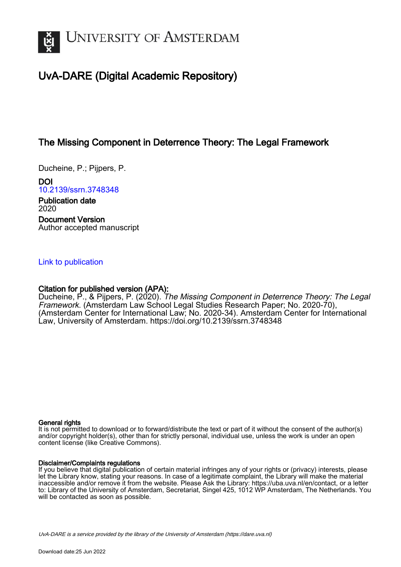

# UvA-DARE (Digital Academic Repository)

## The Missing Component in Deterrence Theory: The Legal Framework

Ducheine, P.; Pijpers, P.

DOI [10.2139/ssrn.3748348](https://doi.org/10.2139/ssrn.3748348)

Publication date 2020 Document Version Author accepted manuscript

#### [Link to publication](https://dare.uva.nl/personal/pure/en/publications/the-missing-component-in-deterrence-theory-the-legal-framework(b85944d2-941f-49f9-be50-a013a618d969).html)

#### Citation for published version (APA):

Ducheine, P., & Pijpers, P. (2020). The Missing Component in Deterrence Theory: The Legal Framework. (Amsterdam Law School Legal Studies Research Paper; No. 2020-70), (Amsterdam Center for International Law; No. 2020-34). Amsterdam Center for International Law, University of Amsterdam. <https://doi.org/10.2139/ssrn.3748348>

#### General rights

It is not permitted to download or to forward/distribute the text or part of it without the consent of the author(s) and/or copyright holder(s), other than for strictly personal, individual use, unless the work is under an open content license (like Creative Commons).

#### Disclaimer/Complaints regulations

If you believe that digital publication of certain material infringes any of your rights or (privacy) interests, please let the Library know, stating your reasons. In case of a legitimate complaint, the Library will make the material inaccessible and/or remove it from the website. Please Ask the Library: https://uba.uva.nl/en/contact, or a letter to: Library of the University of Amsterdam, Secretariat, Singel 425, 1012 WP Amsterdam, The Netherlands. You will be contacted as soon as possible.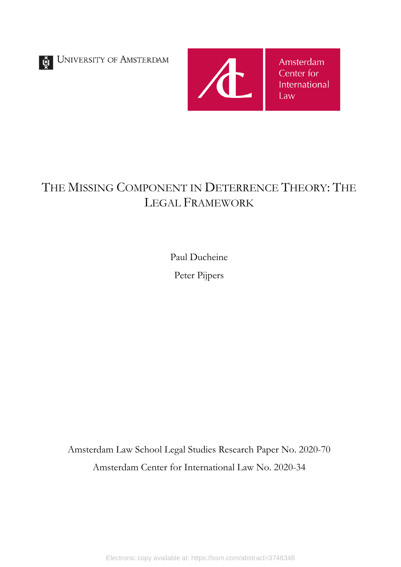UNIVERSITY OF AMSTERDAM



# THE MISSING COMPONENT IN DETERRENCE THEORY: THE LEGAL FRAMEWORK

Paul Ducheine Peter Pijpers

Amsterdam Law School Legal Studies Research Paper No. 2020-70 Amsterdam Center for International Law No. 2020-34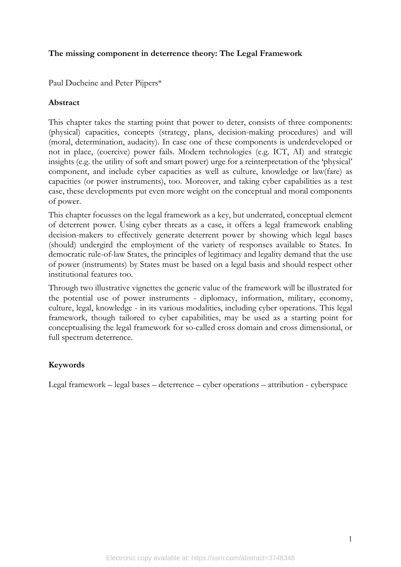#### **The missing component in deterrence theory: The Legal Framework**

Paul Ducheine and Peter Pijpers\*

#### **Abstract**

This chapter takes the starting point that power to deter, consists of three components: (physical) capacities, concepts (strategy, plans, decision-making procedures) and will (moral, determination, audacity). In case one of these components is underdeveloped or not in place, (coercive) power fails. Modern technologies (e.g. ICT, AI) and strategic insights (e.g. the utility of soft and smart power) urge for a reinterpretation of the 'physical' component, and include cyber capacities as well as culture, knowledge or law(fare) as capacities (or power instruments), too. Moreover, and taking cyber capabilities as a test case, these developments put even more weight on the conceptual and moral components of power.

This chapter focusses on the legal framework as a key, but underrated, conceptual element of deterrent power. Using cyber threats as a case, it offers a legal framework enabling decision-makers to effectively generate deterrent power by showing which legal bases (should) undergird the employment of the variety of responses available to States. In democratic rule-of-law States, the principles of legitimacy and legality demand that the use of power (instruments) by States must be based on a legal basis and should respect other institutional features too.

Through two illustrative vignettes the generic value of the framework will be illustrated for the potential use of power instruments - diplomacy, information, military, economy, culture, legal, knowledge - in its various modalities, including cyber operations. This legal framework, though tailored to cyber capabilities, may be used as a starting point for conceptualising the legal framework for so-called cross domain and cross dimensional, or full spectrum deterrence.

#### **Keywords**

Legal framework – legal bases – deterrence – cyber operations – attribution - cyberspace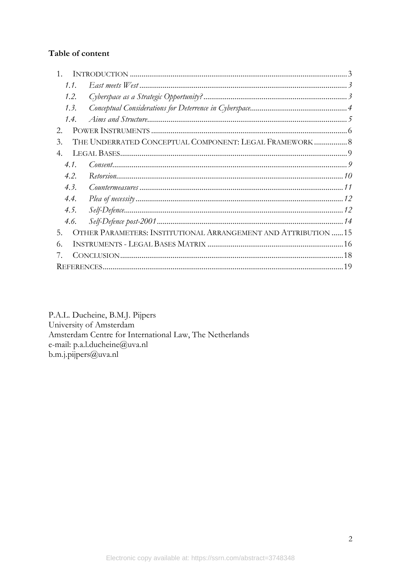## Table of content

| 1.1. |                                                                 |  |
|------|-----------------------------------------------------------------|--|
| 1.2. |                                                                 |  |
| 1.3. |                                                                 |  |
| 1.4. |                                                                 |  |
| 2.   |                                                                 |  |
| 3.   | THE UNDERRATED CONCEPTUAL COMPONENT: LEGAL FRAMEWORK  8         |  |
| 4.   |                                                                 |  |
| 4.1. |                                                                 |  |
| 4.2  |                                                                 |  |
| 4.3. |                                                                 |  |
| 4.4. |                                                                 |  |
| 4.5. |                                                                 |  |
| 4.6. |                                                                 |  |
| 5.   | OTHER PARAMETERS: INSTITUTIONAL ARRANGEMENT AND ATTRIBUTION  15 |  |
| 6.   |                                                                 |  |
|      |                                                                 |  |
|      |                                                                 |  |

P.A.L. Ducheine, B.M.J. Pijpers University of Amsterdam Amsterdam Centre for International Law, The Netherlands e-mail: p.a.l.ducheine@uva.nl  $b.m.j.pijpers@uva.nl$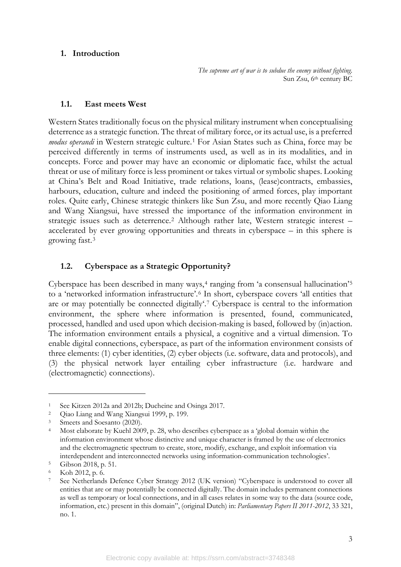#### <span id="page-4-0"></span>**1. Introduction**

*The supreme art of war is to subdue the enemy without fighting.* Sun Zsu, 6th century BC

#### <span id="page-4-1"></span>**1.1. East meets West**

Western States traditionally focus on the physical military instrument when conceptualising deterrence as a strategic function. The threat of military force, or its actual use, is a preferred *modus operandi* in Western strategic culture.<sup>[1](#page-4-3)</sup> For Asian States such as China, force may be perceived differently in terms of instruments used, as well as in its modalities, and in concepts. Force and power may have an economic or diplomatic face, whilst the actual threat or use of military force is less prominent or takes virtual or symbolic shapes. Looking at China's Belt and Road Initiative, trade relations, loans, (lease)contracts, embassies, harbours, education, culture and indeed the positioning of armed forces, play important roles. Quite early, Chinese strategic thinkers like Sun Zsu, and more recently Qiao Liang and Wang Xiangsui, have stressed the importance of the information environment in strategic issues such as deterrence.[2](#page-4-4) Although rather late, Western strategic interest – accelerated by ever growing opportunities and threats in cyberspace – in this sphere is growing fast.[3](#page-4-5)

#### <span id="page-4-2"></span>**1.2. Cyberspace as a Strategic Opportunity?**

Cyberspace has been described in many ways,<sup>[4](#page-4-6)</sup> ranging from 'a consensual hallucination'<sup>[5](#page-4-7)</sup> to a 'networked information infrastructure'.[6](#page-4-8) In short, cyberspace covers 'all entities that are or may potentially be connected digitally'.[7](#page-4-9) Cyberspace is central to the information environment, the sphere where information is presented, found, communicated, processed, handled and used upon which decision-making is based, followed by (in)action. The information environment entails a physical, a cognitive and a virtual dimension. To enable digital connections, cyberspace, as part of the information environment consists of three elements: (1) cyber identities, (2) cyber objects (i.e. software, data and protocols), and (3) the physical network layer entailing cyber infrastructure (i.e. hardware and (electromagnetic) connections).

<span id="page-4-3"></span><sup>1</sup> See Kitzen 2012a and 2012b; Ducheine and Osinga 2017.

<span id="page-4-4"></span><sup>2</sup> Qiao Liang and Wang Xiangsui 1999, p. 199.

<span id="page-4-5"></span><sup>3</sup> Smeets and Soesanto (2020).

<span id="page-4-6"></span><sup>4</sup> Most elaborate by Kuehl 2009, p. 28, who describes cyberspace as a 'global domain within the information environment whose distinctive and unique character is framed by the use of electronics and the electromagnetic spectrum to create, store, modify, exchange, and exploit information via interdependent and interconnected networks using information-communication technologies'.

<span id="page-4-7"></span><sup>5</sup> Gibson 2018, p. 51.

<span id="page-4-8"></span><sup>6</sup> Koh 2012, p. 6.

<span id="page-4-9"></span><sup>7</sup> See Netherlands Defence Cyber Strategy 2012 (UK version) "Cyberspace is understood to cover all entities that are or may potentially be connected digitally. The domain includes permanent connections as well as temporary or local connections, and in all cases relates in some way to the data (source code, information, etc.) present in this domain", (original Dutch) in: *Parliamentary Papers II 2011-2012*, 33 321, no. 1.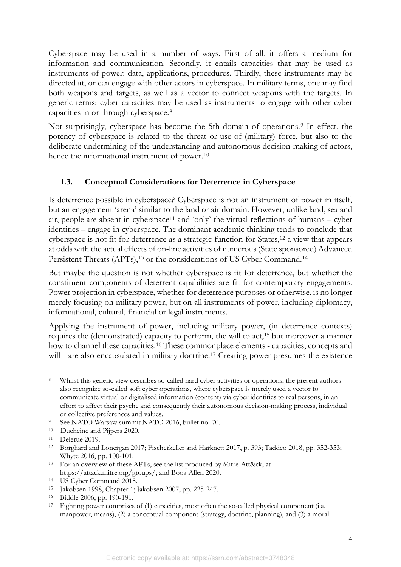Cyberspace may be used in a number of ways. First of all, it offers a medium for information and communication. Secondly, it entails capacities that may be used as instruments of power: data, applications, procedures. Thirdly, these instruments may be directed at, or can engage with other actors in cyberspace. In military terms, one may find both weapons and targets, as well as a vector to connect weapons with the targets. In generic terms: cyber capacities may be used as instruments to engage with other cyber capacities in or through cyberspace.[8](#page-5-1)

Not surprisingly, cyberspace has become the 5th domain of operations.<sup>[9](#page-5-2)</sup> In effect, the potency of cyberspace is related to the threat or use of (military) force, but also to the deliberate undermining of the understanding and autonomous decision-making of actors, hence the informational instrument of power.<sup>[10](#page-5-3)</sup>

## <span id="page-5-11"></span><span id="page-5-0"></span>**1.3. Conceptual Considerations for Deterrence in Cyberspace**

Is deterrence possible in cyberspace? Cyberspace is not an instrument of power in itself, but an engagement 'arena' similar to the land or air domain. However, unlike land, sea and air, people are absent in cyberspace[11](#page-5-4) and 'only' the virtual reflections of humans – cyber identities – engage in cyberspace. The dominant academic thinking tends to conclude that cyberspace is not fit for deterrence as a strategic function for States,[12](#page-5-5) a view that appears at odds with the actual effects of on-line activities of numerous (State sponsored) Advanced Persistent Threats (APTs),<sup>[13](#page-5-6)</sup> or the considerations of US Cyber Command.<sup>[14](#page-5-7)</sup>

But maybe the question is not whether cyberspace is fit for deterrence, but whether the constituent components of deterrent capabilities are fit for contemporary engagements. Power projection in cyberspace, whether for deterrence purposes or otherwise, is no longer merely focusing on military power, but on all instruments of power, including diplomacy, informational, cultural, financial or legal instruments.

Applying the instrument of power, including military power, (in deterrence contexts) requires the (demonstrated) capacity to perform, the will to act,<sup>[15](#page-5-8)</sup> but moreover a manner how to channel these capacities.[16](#page-5-9) These commonplace elements - capacities, concepts and will - are also encapsulated in military doctrine.<sup>[17](#page-5-10)</sup> Creating power presumes the existence

<span id="page-5-1"></span>Whilst this generic view describes so-called hard cyber activities or operations, the present authors also recognize so-called soft cyber operations, where cyberspace is merely used a vector to communicate virtual or digitalised information (content) via cyber identities to real persons, in an effort to affect their psyche and consequently their autonomous decision-making process, individual or collective preferences and values.

<span id="page-5-2"></span><sup>9</sup> See NATO Warsaw summit NATO 2016, bullet no. 70.

<span id="page-5-3"></span><sup>10</sup> Ducheine and Pijpers 2020.

<span id="page-5-5"></span><span id="page-5-4"></span><sup>11</sup> Delerue 2019.<br><sup>12</sup> Borghard and Lonergan 2017; Fischerkeller and Harknett 2017, p. 393; Taddeo 2018, pp. 352-353; Whyte 2016, pp. 100-101.

<span id="page-5-6"></span><sup>13</sup> For an overview of these APTs, see the list produced by Mitre-Att&ck, at [https://attack.mitre.org/groups/;](https://attack.mitre.org/groups/) and Booz Allen 2020.

<span id="page-5-7"></span><sup>14</sup> US Cyber Command 2018.

<span id="page-5-8"></span><sup>15</sup> Jakobsen 1998, Chapter 1; Jakobsen 2007, pp. 225-247.

<span id="page-5-10"></span><span id="page-5-9"></span><sup>&</sup>lt;sup>17</sup> Fighting power comprises of (1) capacities, most often the so-called physical component (i.a. manpower, means), (2) a conceptual component (strategy, doctrine, planning), and (3) a moral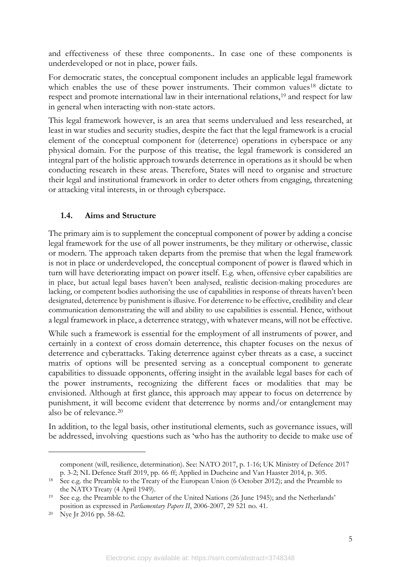and effectiveness of these three components.. In case one of these components is underdeveloped or not in place, power fails.

For democratic states, the conceptual component includes an applicable legal framework which enables the use of these power instruments. Their common values<sup>[18](#page-6-1)</sup> dictate to respect and promote international law in their international relations,<sup>[19](#page-6-2)</sup> and respect for law in general when interacting with non-state actors.

This legal framework however, is an area that seems undervalued and less researched, at least in war studies and security studies, despite the fact that the legal framework is a crucial element of the conceptual component for (deterrence) operations in cyberspace or any physical domain. For the purpose of this treatise, the legal framework is considered an integral part of the holistic approach towards deterrence in operations as it should be when conducting research in these areas. Therefore, States will need to organise and structure their legal and institutional framework in order to deter others from engaging, threatening or attacking vital interests, in or through cyberspace.

#### <span id="page-6-0"></span>**1.4. Aims and Structure**

The primary aim is to supplement the conceptual component of power by adding a concise legal framework for the use of all power instruments, be they military or otherwise, classic or modern. The approach taken departs from the premise that when the legal framework is not in place or underdeveloped, the conceptual component of power is flawed which in turn will have deteriorating impact on power itself. E.g. when, offensive cyber capabilities are in place, but actual legal bases haven't been analysed, realistic decision-making procedures are lacking, or competent bodies authorising the use of capabilities in response of threats haven't been designated, deterrence by punishment is illusive. For deterrence to be effective, credibility and clear communication demonstrating the will and ability to use capabilities is essential. Hence, without a legal framework in place, a deterrence strategy, with whatever means, will not be effective.

While such a framework is essential for the employment of all instruments of power, and certainly in a context of cross domain deterrence, this chapter focuses on the nexus of deterrence and cyberattacks. Taking deterrence against cyber threats as a case, a succinct matrix of options will be presented serving as a conceptual component to generate capabilities to dissuade opponents, offering insight in the available legal bases for each of the power instruments, recognizing the different faces or modalities that may be envisioned. Although at first glance, this approach may appear to focus on deterrence by punishment, it will become evident that deterrence by norms and/or entanglement may also be of relevance.[20](#page-6-3)

In addition, to the legal basis, other institutional elements, such as governance issues, will be addressed, involving questions such as 'who has the authority to decide to make use of

component (will, resilience, determination). See: NATO 2017, p. 1-16; UK Ministry of Defence 2017 p. 3-2; NL Defence Staff 2019, pp. 66 ff; Applied in Ducheine and Van Haaster 2014, p. 305.

<span id="page-6-1"></span><sup>&</sup>lt;sup>18</sup> See e.g. the Preamble to the Treaty of the European Union (6 October 2012); and the Preamble to the NATO Treaty (4 April 1949).

<span id="page-6-2"></span><sup>&</sup>lt;sup>19</sup> See e.g. the Preamble to the Charter of the United Nations (26 June 1945); and the Netherlands' position as expressed in *Parliamentary Papers II*, 2006-2007, 29 521 no. 41.

<span id="page-6-3"></span><sup>20</sup> Nye Jr 2016 pp. 58-62.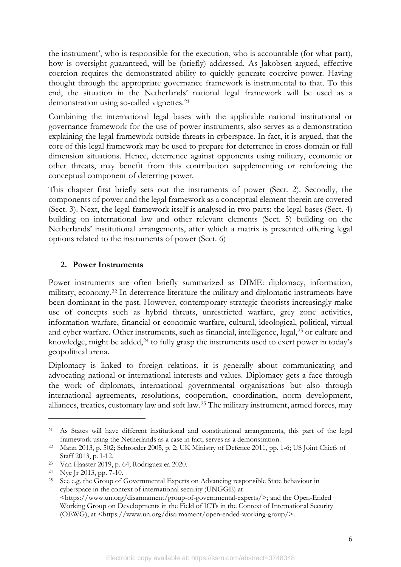the instrument', who is responsible for the execution, who is accountable (for what part), how is oversight guaranteed, will be (briefly) addressed. As Jakobsen argued, effective coercion requires the demonstrated ability to quickly generate coercive power. Having thought through the appropriate governance framework is instrumental to that. To this end, the situation in the Netherlands' national legal framework will be used as a demonstration using so-called vignettes.<sup>[21](#page-7-1)</sup>

Combining the international legal bases with the applicable national institutional or governance framework for the use of power instruments, also serves as a demonstration explaining the legal framework outside threats in cyberspace. In fact, it is argued, that the core of this legal framework may be used to prepare for deterrence in cross domain or full dimension situations. Hence, deterrence against opponents using military, economic or other threats, may benefit from this contribution supplementing or reinforcing the conceptual component of deterring power.

This chapter first briefly sets out the instruments of power (Sect. 2). Secondly, the components of power and the legal framework as a conceptual element therein are covered (Sect. 3). Next, the legal framework itself is analysed in two parts: the legal bases (Sect. 4) building on international law and other relevant elements (Sect. 5) building on the Netherlands' institutional arrangements, after which a matrix is presented offering legal options related to the instruments of power (Sect. 6)

#### <span id="page-7-0"></span>**2. Power Instruments**

Power instruments are often briefly summarized as DIME: diplomacy, information, military, economy.[22](#page-7-2) In deterrence literature the military and diplomatic instruments have been dominant in the past. However, contemporary strategic theorists increasingly make use of concepts such as hybrid threats, unrestricted warfare, grey zone activities, information warfare, financial or economic warfare, cultural, ideological, political, virtual and cyber warfare. Other instruments, such as financial, intelligence, legal,<sup>[23](#page-7-3)</sup> or culture and knowledge, might be added,<sup>[24](#page-7-4)</sup> to fully grasp the instruments used to exert power in today's geopolitical arena.

Diplomacy is linked to foreign relations, it is generally about communicating and advocating national or international interests and values. Diplomacy gets a face through the work of diplomats, international governmental organisations but also through international agreements, resolutions, cooperation, coordination, norm development, alliances, treaties, customary law and soft law.[25](#page-7-5) The military instrument, armed forces, may

<span id="page-7-1"></span><sup>21</sup> As States will have different institutional and constitutional arrangements, this part of the legal framework using the Netherlands as a case in fact, serves as a demonstration.

<span id="page-7-2"></span><sup>22</sup> Mann 2013, p. 502; Schroeder 2005, p. 2; UK Ministry of Defence 2011, pp. 1-6; US Joint Chiefs of Staff 2013, p. I-12.

<span id="page-7-3"></span><sup>23</sup> Van Haaster 2019, p. 64; Rodriguez ea 2020.

<span id="page-7-4"></span><sup>24</sup> Nye Jr 2013, pp. 7-10.

<span id="page-7-5"></span><sup>&</sup>lt;sup>25</sup> See e.g. the Group of Governmental Experts on Advancing responsible State behaviour in cyberspace in the context of international security (UNGGE) at <https://www.un.org/disarmament/group-of-governmental-experts/>; and the Open-Ended Working Group on Developments in the Field of ICTs in the Context of International Security (OEWG), at <https://www.un.org/disarmament/open-ended-working-group/>.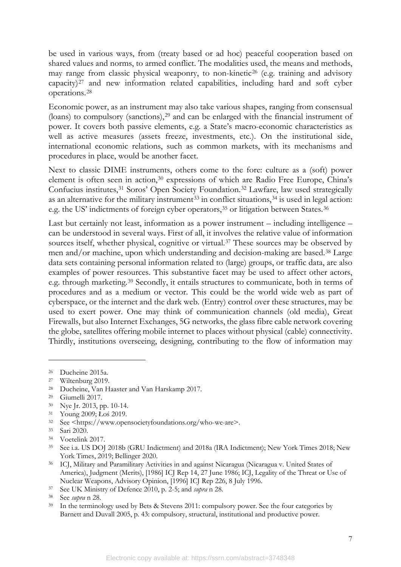be used in various ways, from (treaty based or ad hoc) peaceful cooperation based on shared values and norms, to armed conflict. The modalities used, the means and methods, may range from classic physical weaponry, to non-kinetic<sup>[26](#page-8-1)</sup> (e.g. training and advisory capacity)[27](#page-8-2) and new information related capabilities, including hard and soft cyber operations.[28](#page-8-3)

<span id="page-8-0"></span>Economic power, as an instrument may also take various shapes, ranging from consensual (loans) to compulsory (sanctions),<sup>[29](#page-8-4)</sup> and can be enlarged with the financial instrument of power. It covers both passive elements, e.g. a State's macro-economic characteristics as well as active measures (assets freeze, investments, etc.). On the institutional side, international economic relations, such as common markets, with its mechanisms and procedures in place, would be another facet.

Next to classic DIME instruments, others come to the fore: culture as a (soft) power element is often seen in action,<sup>[30](#page-8-5)</sup> expressions of which are Radio Free Europe, China's Confucius institutes,[31](#page-8-6) Soros' Open Society Foundation.[32](#page-8-7) Lawfare, law used strategically as an alternative for the military instrument<sup>[33](#page-8-8)</sup> in conflict situations,<sup>[34](#page-8-9)</sup> is used in legal action: e.g. the US' indictments of foreign cyber operators,<sup>[35](#page-8-10)</sup> or litigation between States.<sup>[36](#page-8-11)</sup>

Last but certainly not least, information as a power instrument – including intelligence – can be understood in several ways. First of all, it involves the relative value of information sources itself, whether physical, cognitive or virtual.[37](#page-8-12) These sources may be observed by men and/or machine, upon which understanding and decision-making are based.[38](#page-8-13) Large data sets containing personal information related to (large) groups, or traffic data, are also examples of power resources. This substantive facet may be used to affect other actors, e.g. through marketing.[39](#page-8-14) Secondly, it entails structures to communicate, both in terms of procedures and as a medium or vector. This could be the world wide web as part of cyberspace, or the internet and the dark web. (Entry) control over these structures, may be used to exert power. One may think of communication channels (old media), Great Firewalls, but also Internet Exchanges, 5G networks, the glass fibre cable network covering the globe, satellites offering mobile internet to places without physical (cable) connectivity. Thirdly, institutions overseeing, designing, contributing to the flow of information may

<span id="page-8-8"></span><sup>33</sup> Sari 2020.

<span id="page-8-1"></span><sup>26</sup> Ducheine 2015a.

<span id="page-8-2"></span><sup>27</sup> Wiltenburg 2019.

<span id="page-8-3"></span><sup>28</sup> Ducheine, Van Haaster and Van Harskamp 2017.

<span id="page-8-4"></span><sup>29</sup> Giumelli 2017.

<span id="page-8-5"></span><sup>30</sup> Nye Jr. 2013, pp. 10-14.

<span id="page-8-6"></span><sup>31</sup> Young 2009; Łoś 2019.

<span id="page-8-7"></span><sup>32</sup> See [<https://www.opensocietyfoundations.org/who-we-are>](https://www.opensocietyfoundations.org/who-we-are).

<span id="page-8-9"></span><sup>34</sup> Voetelink 2017.

<span id="page-8-10"></span><sup>35</sup> See i.a. US DOJ 2018b (GRU Indictment) and 2018a (IRA Indictment); New York Times 2018; New York Times, 2019; Bellinger 2020.

<span id="page-8-11"></span><sup>36</sup> ICJ, Military and Paramilitary Activities in and against Nicaragua (Nicaragua v. United States of America), Judgment (Merits), [1986] ICJ Rep 14, 27 June 1986; ICJ, Legality of the Threat or Use of Nuclear Weapons, Advisory Opinion, [1996] ICJ Rep 226, 8 July 1996.

<span id="page-8-12"></span><sup>37</sup> See UK Ministry of Defence 2010, p. 2-5; and *supra* [n 28.](#page-8-0) 38 See *supra* n [28.](#page-8-0)

<span id="page-8-13"></span>

<span id="page-8-14"></span><sup>&</sup>lt;sup>39</sup> In the terminology used by Bets & Stevens 2011: compulsory power. See the four categories by Barnett and Duvall 2005, p. 43: compulsory, structural, institutional and productive power.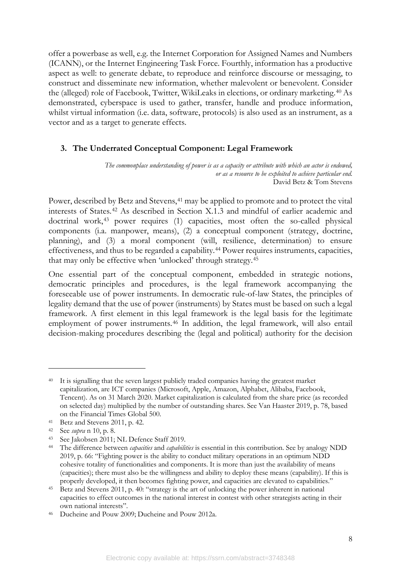offer a powerbase as well, e.g. the Internet Corporation for Assigned Names and Numbers (ICANN), or the Internet Engineering Task Force. Fourthly, information has a productive aspect as well: to generate debate, to reproduce and reinforce discourse or messaging, to construct and disseminate new information, whether malevolent or benevolent. Consider the (alleged) role of Facebook, Twitter, WikiLeaks in elections, or ordinary marketing.[40](#page-9-1) As demonstrated, cyberspace is used to gather, transfer, handle and produce information, whilst virtual information (i.e. data, software, protocols) is also used as an instrument, as a vector and as a target to generate effects.

#### <span id="page-9-0"></span>**3. The Underrated Conceptual Component: Legal Framework**

*The commonplace understanding of power is as a capacity or attribute with which an actor is endowed, or as a resource to be exploited to achieve particular end.* David Betz & Tom Stevens

Power, described by Betz and Stevens,<sup>[41](#page-9-2)</sup> may be applied to promote and to protect the vital interests of States.[42](#page-9-3) As described in Section X.1.3 and mindful of earlier academic and doctrinal work,[43](#page-9-4) power requires (1) capacities, most often the so-called physical components (i.a. manpower, means), (2) a conceptual component (strategy, doctrine, planning), and (3) a moral component (will, resilience, determination) to ensure effectiveness, and thus to be regarded a capability.[44](#page-9-5) Power requires instruments, capacities, that may only be effective when 'unlocked' through strategy.[45](#page-9-6)

<span id="page-9-8"></span>One essential part of the conceptual component, embedded in strategic notions, democratic principles and procedures, is the legal framework accompanying the foreseeable use of power instruments. In democratic rule-of-law States, the principles of legality demand that the use of power (instruments) by States must be based on such a legal framework. A first element in this legal framework is the legal basis for the legitimate employment of power instruments.<sup>[46](#page-9-7)</sup> In addition, the legal framework, will also entail decision-making procedures describing the (legal and political) authority for the decision

<span id="page-9-1"></span><sup>&</sup>lt;sup>40</sup> It is signalling that the seven largest publicly traded companies having the greatest market capitalization, are ICT companies (Microsoft, Apple, Amazon, Alphabet, Alibaba, Facebook, Tencent). As on 31 March 2020. Market capitalization is calculated from the share price (as recorded on selected day) multiplied by the number of outstanding shares. See Van Haaster 2019, p. 78, based on the Financial Times Global 500.

<span id="page-9-2"></span><sup>41</sup> Betz and Stevens 2011, p. 42.

<span id="page-9-3"></span><sup>42</sup> See *supra* n [10,](#page-5-11) p. 8.

<span id="page-9-4"></span><sup>43</sup> See Jakobsen 2011; NL Defence Staff 2019.

<span id="page-9-5"></span><sup>44</sup> The difference between *capacities* and *capabilities* is essential in this contribution. See by analogy NDD 2019, p. 66: "Fighting power is the ability to conduct military operations in an optimum NDD cohesive totality of functionalities and components. It is more than just the availability of means (capacities); there must also be the willingness and ability to deploy these means (capability). If this is properly developed, it then becomes fighting power, and capacities are elevated to capabilities."

<span id="page-9-6"></span><sup>45</sup> Betz and Stevens 2011, p. 40: "strategy is the art of unlocking the power inherent in national capacities to effect outcomes in the national interest in contest with other strategists acting in their own national interests".

<span id="page-9-7"></span><sup>46</sup> Ducheine and Pouw 2009; Ducheine and Pouw 2012a.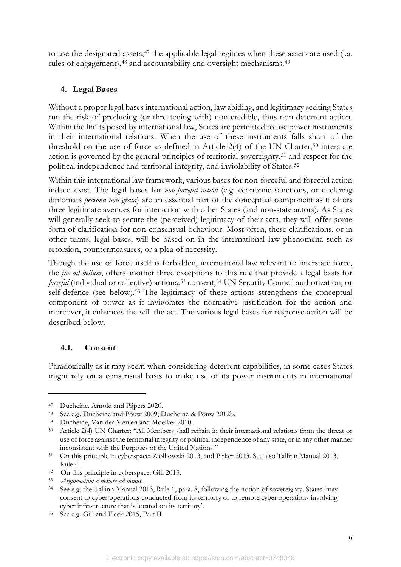to use the designated assets,<sup>[47](#page-10-2)</sup> the applicable legal regimes when these assets are used (i.a. rules of engagement), <sup>[48](#page-10-3)</sup> and accountability and oversight mechanisms. <sup>[49](#page-10-4)</sup>

#### <span id="page-10-13"></span><span id="page-10-12"></span><span id="page-10-11"></span><span id="page-10-0"></span>**4. Legal Bases**

Without a proper legal bases international action, law abiding, and legitimacy seeking States run the risk of producing (or threatening with) non-credible, thus non-deterrent action. Within the limits posed by international law, States are permitted to use power instruments in their international relations. When the use of these instruments falls short of the threshold on the use of force as defined in Article  $2(4)$  of the UN Charter,<sup>[50](#page-10-5)</sup> interstate action is governed by the general principles of territorial sovereignty,<sup>[51](#page-10-6)</sup> and respect for the political independence and territorial integrity, and inviolability of States.<sup>[52](#page-10-7)</sup>

Within this international law framework, various bases for non-forceful and forceful action indeed exist. The legal bases for *non-forceful action* (e.g. economic sanctions, or declaring diplomats *persona non grata*) are an essential part of the conceptual component as it offers three legitimate avenues for interaction with other States (and non-state actors). As States will generally seek to secure the (perceived) legitimacy of their acts, they will offer some form of clarification for non-consensual behaviour. Most often, these clarifications, or in other terms, legal bases, will be based on in the international law phenomena such as retorsion, countermeasures, or a plea of necessity.

Though the use of force itself is forbidden, international law relevant to interstate force, the *jus ad bellum*, offers another three exceptions to this rule that provide a legal basis for *forceful* (individual or collective) actions:<sup>[53](#page-10-8)</sup> consent,<sup>[54](#page-10-9)</sup> UN Security Council authorization, or self-defence (see below).<sup>[55](#page-10-10)</sup> The legitimacy of these actions strengthens the conceptual component of power as it invigorates the normative justification for the action and moreover, it enhances the will the act. The various legal bases for response action will be described below.

## <span id="page-10-1"></span>**4.1. Consent**

Paradoxically as it may seem when considering deterrent capabilities, in some cases States might rely on a consensual basis to make use of its power instruments in international

9

<span id="page-10-2"></span><sup>47</sup> Ducheine, Arnold and Pijpers 2020.

<span id="page-10-3"></span><sup>48</sup> See e.g. Ducheine and Pouw 2009; Ducheine & Pouw 2012b.

<span id="page-10-4"></span><sup>49</sup> Ducheine, Van der Meulen and Moelker 2010.

<span id="page-10-5"></span><sup>50</sup> Article 2(4) UN Charter: "All Members shall refrain in their international relations from the threat or use of force against the territorial integrity or political independence of any state, or in any other manner inconsistent with the Purposes of the United Nations."

<span id="page-10-6"></span><sup>51</sup> On this principle in cyberspace: Ziolkowski 2013, and Pirker 2013. See also Tallinn Manual 2013, Rule 4.

<span id="page-10-7"></span><sup>52</sup> On this principle in cyberspace: Gill 2013.

<span id="page-10-8"></span><sup>53</sup> *Argumentum a maiore ad minus*.

<span id="page-10-9"></span><sup>54</sup> See e.g. the Tallinn Manual 2013, Rule 1, para. 8, following the notion of sovereignty, States 'may consent to cyber operations conducted from its territory or to remote cyber operations involving cyber infrastructure that is located on its territory'.

<span id="page-10-10"></span><sup>55</sup> See e.g. Gill and Fleck 2015, Part II.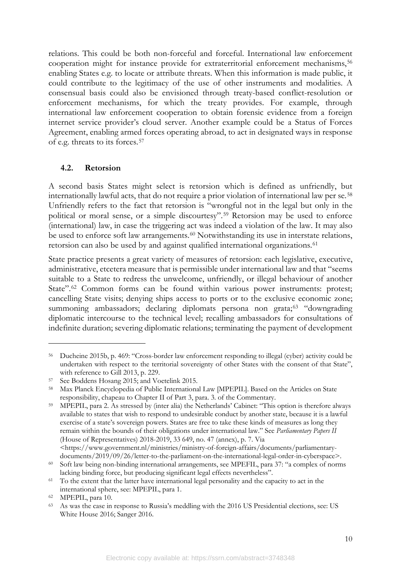<span id="page-11-9"></span>relations. This could be both non-forceful and forceful. International law enforcement cooperation might for instance provide for extraterritorial enforcement mechanisms,<sup>[56](#page-11-1)</sup> enabling States e.g. to locate or attribute threats. When this information is made public, it could contribute to the legitimacy of the use of other instruments and modalities. A consensual basis could also be envisioned through treaty-based conflict-resolution or enforcement mechanisms, for which the treaty provides. For example, through international law enforcement cooperation to obtain forensic evidence from a foreign internet service provider's cloud server. Another example could be a Status of Forces Agreement, enabling armed forces operating abroad, to act in designated ways in response of e.g. threats to its forces.[57](#page-11-2)

#### <span id="page-11-10"></span><span id="page-11-0"></span>**4.2. Retorsion**

A second basis States might select is retorsion which is defined as unfriendly, but internationally lawful acts, that do not require a prior violation of international law per se.<sup>[58](#page-11-3)</sup> Unfriendly refers to the fact that retorsion is "wrongful not in the legal but only in the political or moral sense, or a simple discourtesy".[59](#page-11-4) Retorsion may be used to enforce (international) law, in case the triggering act was indeed a violation of the law. It may also be used to enforce soft law arrangements.<sup>[60](#page-11-5)</sup> Notwithstanding its use in interstate relations, retorsion can also be used by and against qualified international organizations.<sup>[61](#page-11-6)</sup>

State practice presents a great variety of measures of retorsion: each legislative, executive, administrative, etcetera measure that is permissible under international law and that "seems suitable to a State to redress the unwelcome, unfriendly, or illegal behaviour of another State".<sup>[62](#page-11-7)</sup> Common forms can be found within various power instruments: protest; cancelling State visits; denying ships access to ports or to the exclusive economic zone; summoning ambassadors; declaring diplomats persona non grata;<sup>[63](#page-11-8)</sup> "downgrading diplomatic intercourse to the technical level; recalling ambassadors for consultations of indefinite duration; severing diplomatic relations; terminating the payment of development

<span id="page-11-1"></span><sup>56</sup> Ducheine 2015b, p. 469: "Cross-border law enforcement responding to illegal (cyber) activity could be undertaken with respect to the territorial sovereignty of other States with the consent of that State", with reference to Gill 2013, p. 229.

<span id="page-11-2"></span><sup>57</sup> See Boddens Hosang 2015; and Voetelink 2015.

<span id="page-11-3"></span><sup>58</sup> Max Planck Encyclopedia of Public International Law [MPEPIL]. Based on the Articles on State responsibility, chapeau to Chapter II of Part 3, para. 3. of the Commentary.

<span id="page-11-4"></span><sup>59</sup> MPEPIL, para 2. As stressed by (inter alia) the Netherlands' Cabinet: "This option is therefore always available to states that wish to respond to undesirable conduct by another state, because it is a lawful exercise of a state's sovereign powers. States are free to take these kinds of measures as long they remain within the bounds of their obligations under international law." See *Parliamentary Papers II* (House of Representatives) 2018-2019, 33 649, no. 47 (annex), p. 7. Via <https://www.government.nl/ministries/ministry-of-foreign-affairs/documents/parliamentary-

<span id="page-11-5"></span>documents/2019/09/26/letter-to-the-parliament-on-the-international-legal-order-in-cyberspace>. <sup>60</sup> Soft law being non-binding international arrangements, see MPEFIL, para 37: "a complex of norms lacking binding force, but producing significant legal effects nevertheless".

<span id="page-11-6"></span><sup>&</sup>lt;sup>61</sup> To the extent that the latter have international legal personality and the capacity to act in the international sphere, see: MPEPIL, para 1.

<span id="page-11-7"></span><sup>62</sup> MPEPIL, para 10.

<span id="page-11-8"></span><sup>63</sup> As was the case in response to Russia's meddling with the 2016 US Presidential elections, see: US White House 2016; Sanger 2016.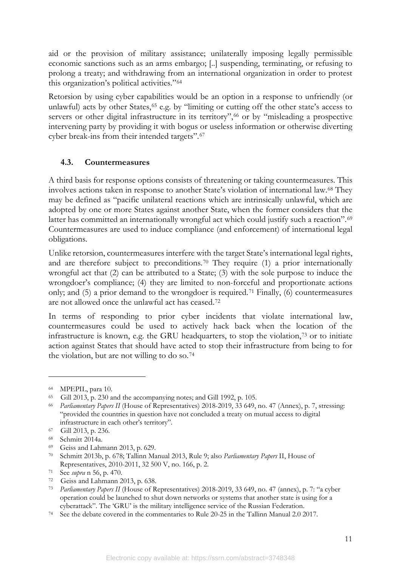aid or the provision of military assistance; unilaterally imposing legally permissible economic sanctions such as an arms embargo; [..] suspending, terminating, or refusing to prolong a treaty; and withdrawing from an international organization in order to protest this organization's political activities."[64](#page-12-1)

Retorsion by using cyber capabilities would be an option in a response to unfriendly (or unlawful) acts by other States,<sup>[65](#page-12-2)</sup> e.g. by "limiting or cutting off the other state's access to servers or other digital infrastructure in its territory",<sup>[66](#page-12-3)</sup> or by "misleading a prospective intervening party by providing it with bogus or useless information or otherwise diverting cyber break-ins from their intended targets".[67](#page-12-4)

#### <span id="page-12-0"></span>**4.3. Countermeasures**

A third basis for response options consists of threatening or taking countermeasures. This involves actions taken in response to another State's violation of international law.[68](#page-12-5) They may be defined as "pacific unilateral reactions which are intrinsically unlawful, which are adopted by one or more States against another State, when the former considers that the latter has committed an internationally wrongful act which could justify such a reaction".<sup>[69](#page-12-6)</sup> Countermeasures are used to induce compliance (and enforcement) of international legal obligations.

Unlike retorsion, countermeasures interfere with the target State's international legal rights, and are therefore subject to preconditions.<sup>[70](#page-12-7)</sup> They require  $(1)$  a prior internationally wrongful act that (2) can be attributed to a State; (3) with the sole purpose to induce the wrongdoer's compliance; (4) they are limited to non-forceful and proportionate actions only; and (5) a prior demand to the wrongdoer is required.[71](#page-12-8) Finally, (6) countermeasures are not allowed once the unlawful act has ceased.[72](#page-12-9)

In terms of responding to prior cyber incidents that violate international law, countermeasures could be used to actively hack back when the location of the infrastructure is known, e.g. the GRU headquarters, to stop the violation,[73](#page-12-10) or to initiate action against States that should have acted to stop their infrastructure from being to for the violation, but are not willing to do so.<sup>[74](#page-12-11)</sup>

<span id="page-12-1"></span><sup>64</sup> MPEPIL, para 10.

<span id="page-12-2"></span><sup>65</sup> Gill 2013, p. 230 and the accompanying notes; and Gill 1992, p. 105.

<span id="page-12-3"></span><sup>66</sup> *Parliamentary Papers II* (House of Representatives) 2018-2019, 33 649, no. 47 (Annex), p. 7, stressing: "provided the countries in question have not concluded a treaty on mutual access to digital infrastructure in each other's territory".

<span id="page-12-4"></span><sup>67</sup> Gill 2013, p. 236.

<span id="page-12-5"></span><sup>68</sup> Schmitt 2014a.

<span id="page-12-6"></span><sup>69</sup> Geiss and Lahmann 2013, p. 629.

<span id="page-12-7"></span><sup>70</sup> Schmitt 2013b, p. 678; Tallinn Manual 2013, Rule 9; also *Parliamentary Papers* II, House of Representatives, 2010-2011, 32 500 V, no. 166, p. 2.

<span id="page-12-8"></span><sup>71</sup> See *supra* n [56,](#page-11-9) p. 470.

<span id="page-12-9"></span><sup>72</sup> Geiss and Lahmann 2013, p. 638.

<span id="page-12-10"></span><sup>73</sup> *Parliamentary Papers II* (House of Representatives) 2018-2019, 33 649, no. 47 (annex), p. 7: "a cyber operation could be launched to shut down networks or systems that another state is using for a cyberattack". The 'GRU' is the military intelligence service of the Russian Federation.

<span id="page-12-11"></span><sup>74</sup> See the debate covered in the commentaries to Rule 20-25 in the Tallinn Manual 2.0 2017.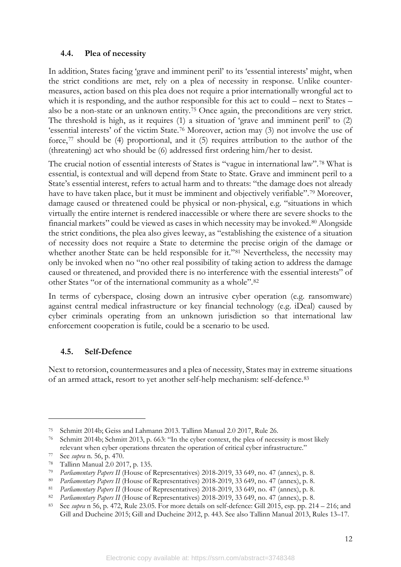#### <span id="page-13-0"></span>**4.4. Plea of necessity**

In addition, States facing 'grave and imminent peril' to its 'essential interests' might, when the strict conditions are met, rely on a plea of necessity in response. Unlike countermeasures, action based on this plea does not require a prior internationally wrongful act to which it is responding, and the author responsible for this act to could – next to States – also be a non-state or an unknown entity.[75](#page-13-2) Once again, the preconditions are very strict. The threshold is high, as it requires (1) a situation of 'grave and imminent peril' to (2) 'essential interests' of the victim State.[76](#page-13-3) Moreover, action may (3) not involve the use of force,[77](#page-13-4) should be (4) proportional, and it (5) requires attribution to the author of the (threatening) act who should be (6) addressed first ordering him/her to desist.

The crucial notion of essential interests of States is "vague in international law".[78](#page-13-5) What is essential, is contextual and will depend from State to State. Grave and imminent peril to a State's essential interest, refers to actual harm and to threats: "the damage does not already have to have taken place, but it must be imminent and objectively verifiable".[79](#page-13-6) Moreover, damage caused or threatened could be physical or non-physical, e.g. "situations in which virtually the entire internet is rendered inaccessible or where there are severe shocks to the financial markets" could be viewed as cases in which necessity may be invoked.[80](#page-13-7) Alongside the strict conditions, the plea also gives leeway, as "establishing the existence of a situation of necessity does not require a State to determine the precise origin of the damage or whether another State can be held responsible for it."[81](#page-13-8) Nevertheless, the necessity may only be invoked when no "no other real possibility of taking action to address the damage caused or threatened, and provided there is no interference with the essential interests" of other States "or of the international community as a whole".[82](#page-13-9)

In terms of cyberspace, closing down an intrusive cyber operation (e.g. ransomware) against central medical infrastructure or key financial technology (e.g. iDeal) caused by cyber criminals operating from an unknown jurisdiction so that international law enforcement cooperation is futile, could be a scenario to be used.

## <span id="page-13-1"></span>**4.5. Self-Defence**

Next to retorsion, countermeasures and a plea of necessity, States may in extreme situations of an armed attack, resort to yet another self-help mechanism: self-defence.[83](#page-13-10)

<span id="page-13-2"></span><sup>75</sup> Schmitt 2014b; Geiss and Lahmann 2013. Tallinn Manual 2.0 2017, Rule 26.

<span id="page-13-3"></span><sup>76</sup> Schmitt 2014b; Schmitt 2013, p. 663: "In the cyber context, the plea of necessity is most likely relevant when cyber operations threaten the operation of critical cyber infrastructure."

<span id="page-13-4"></span><sup>77</sup> See *supra* n. [56,](#page-11-9) p. 470.

<span id="page-13-5"></span><sup>78</sup> Tallinn Manual 2.0 2017, p. 135.

<span id="page-13-6"></span><sup>79</sup> *Parliamentary Papers II* (House of Representatives) 2018-2019, 33 649, no. 47 (annex), p. 8.

<span id="page-13-7"></span><sup>80</sup> *Parliamentary Papers II* (House of Representatives) 2018-2019, 33 649, no. 47 (annex), p. 8.

<span id="page-13-8"></span><sup>81</sup> *Parliamentary Papers II* (House of Representatives) 2018-2019, 33 649, no. 47 (annex), p. 8.

<span id="page-13-9"></span><sup>82</sup> *Parliamentary Papers II* (House of Representatives) 2018-2019, 33 649, no. 47 (annex), p. 8.

<span id="page-13-10"></span><sup>83</sup> See *supra* n [56,](#page-11-9) p. 472, Rule 23.05. For more details on self-defence: Gill 2015, esp. pp. 214 – 216; and Gill and Ducheine 2015; Gill and Ducheine 2012, p. 443. See also Tallinn Manual 2013, Rules 13–17.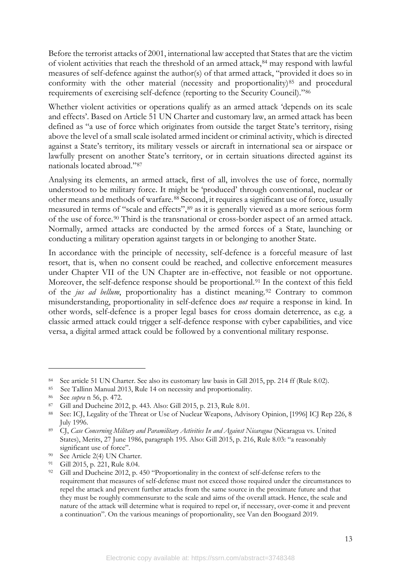Before the terrorist attacks of 2001, international law accepted that States that are the victim of violent activities that reach the threshold of an armed attack,<sup>[84](#page-14-0)</sup> may respond with lawful measures of self-defence against the author(s) of that armed attack, "provided it does so in conformity with the other material (necessity and proportionality)<sup>[85](#page-14-1)</sup> and procedural requirements of exercising self-defence (reporting to the Security Council).["86](#page-14-2)

Whether violent activities or operations qualify as an armed attack 'depends on its scale and effects'. Based on Article 51 UN Charter and customary law, an armed attack has been defined as "a use of force which originates from outside the target State's territory, rising above the level of a small scale isolated armed incident or criminal activity, which is directed against a State's territory, its military vessels or aircraft in international sea or airspace or lawfully present on another State's territory, or in certain situations directed against its nationals located abroad."[87](#page-14-3)

Analysing its elements, an armed attack, first of all, involves the use of force, normally understood to be military force. It might be 'produced' through conventional, nuclear or other means and methods of warfare.[88](#page-14-4) Second, it requires a significant use of force, usually measured in terms of "scale and effects",[89](#page-14-5) as it is generally viewed as a more serious form of the use of force.[90](#page-14-6) Third is the transnational or cross-border aspect of an armed attack. Normally, armed attacks are conducted by the armed forces of a State, launching or conducting a military operation against targets in or belonging to another State.

In accordance with the principle of necessity, self-defence is a forceful measure of last resort, that is, when no consent could be reached, and collective enforcement measures under Chapter VII of the UN Chapter are in-effective, not feasible or not opportune. Moreover, the self-defence response should be proportional.<sup>[91](#page-14-7)</sup> In the context of this field of the *jus ad bellum*, proportionality has a distinct meaning.<sup>[92](#page-14-8)</sup> Contrary to common misunderstanding, proportionality in self-defence does *not* require a response in kind. In other words, self-defence is a proper legal bases for cross domain deterrence, as e.g. a classic armed attack could trigger a self-defence response with cyber capabilities, and vice versa, a digital armed attack could be followed by a conventional military response.

<span id="page-14-0"></span><sup>84</sup> See article 51 UN Charter. See also its customary law basis in Gill 2015, pp. 214 ff (Rule 8.02).

<span id="page-14-1"></span><sup>85</sup> See Tallinn Manual 2013, Rule 14 on necessity and proportionality.

<span id="page-14-2"></span><sup>86</sup> See *supra* n [56,](#page-11-9) p. 472.

<span id="page-14-3"></span><sup>87</sup> Gill and Ducheine 2012, p. 443. Also: Gill 2015, p. 213, Rule 8.01.

<span id="page-14-4"></span><sup>88</sup> See: ICJ, Legality of the Threat or Use of Nuclear Weapons, Advisory Opinion, [1996] ICJ Rep 226, 8 July 1996.

<span id="page-14-5"></span><sup>89</sup> CJ, *Case Concerning Military and Paramilitary Activities In and Against Nicaragua* (Nicaragua vs. United States), Merits, 27 June 1986, paragraph 195. Also: Gill 2015, p. 216, Rule 8.03: "a reasonably significant use of force".

<span id="page-14-6"></span><sup>90</sup> See Article 2(4) UN Charter.

<span id="page-14-7"></span><sup>91</sup> Gill 2015, p. 221, Rule 8.04.

<span id="page-14-8"></span><sup>&</sup>lt;sup>92</sup> Gill and Ducheine 2012, p. 450 "Proportionality in the context of self-defense refers to the requirement that measures of self-defense must not exceed those required under the circumstances to repel the attack and prevent further attacks from the same source in the proximate future and that they must be roughly commensurate to the scale and aims of the overall attack. Hence, the scale and nature of the attack will determine what is required to repel or, if necessary, over-come it and prevent a continuation". On the various meanings of proportionality, see Van den Boogaard 2019.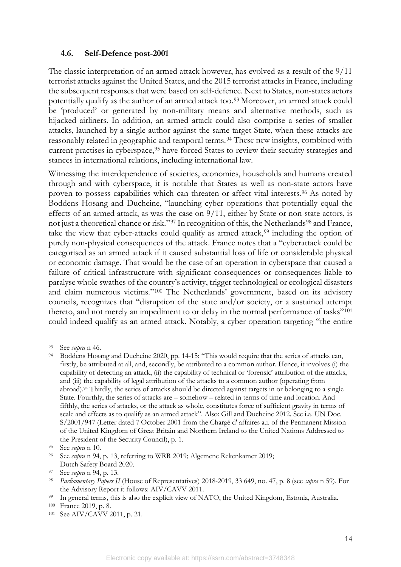#### <span id="page-15-0"></span>**4.6. Self-Defence post-2001**

The classic interpretation of an armed attack however, has evolved as a result of the 9/11 terrorist attacks against the United States, and the 2015 terrorist attacks in France, including the subsequent responses that were based on self-defence. Next to States, non-states actors potentially qualify as the author of an armed attack too.[93](#page-15-2) Moreover, an armed attack could be 'produced' or generated by non-military means and alternative methods, such as hijacked airliners. In addition, an armed attack could also comprise a series of smaller attacks, launched by a single author against the same target State, when these attacks are reasonably related in geographic and temporal terms.<sup>[94](#page-15-3)</sup> These new insights, combined with current practises in cyberspace,<sup>[95](#page-15-4)</sup> have forced States to review their security strategies and stances in international relations, including international law.

<span id="page-15-1"></span>Witnessing the interdependence of societies, economies, households and humans created through and with cyberspace, it is notable that States as well as non-state actors have proven to possess capabilities which can threaten or affect vital interests.[96](#page-15-5) As noted by Boddens Hosang and Ducheine, "launching cyber operations that potentially equal the effects of an armed attack, as was the case on 9/11, either by State or non-state actors, is not just a theoretical chance or risk."[97](#page-15-6) In recognition of this, the Netherlands<sup>[98](#page-15-7)</sup> and France, take the view that cyber-attacks could qualify as armed attack,<sup>[99](#page-15-8)</sup> including the option of purely non-physical consequences of the attack. France notes that a "cyberattack could be categorised as an armed attack if it caused substantial loss of life or considerable physical or economic damage. That would be the case of an operation in cyberspace that caused a failure of critical infrastructure with significant consequences or consequences liable to paralyse whole swathes of the country's activity, trigger technological or ecological disasters and claim numerous victims."[100](#page-15-9) The Netherlands' government, based on its advisory councils, recognizes that "disruption of the state and/or society, or a sustained attempt thereto, and not merely an impediment to or delay in the normal performance of tasks"[101](#page-15-10) could indeed qualify as an armed attack. Notably, a cyber operation targeting "the entire

<span id="page-15-3"></span><span id="page-15-2"></span><sup>&</sup>lt;sup>93</sup> See *supra* n [46.](#page-9-8)<br><sup>94</sup> Boddens Hosang and Ducheine 2020, pp. 14-15: "This would require that the series of attacks can, firstly, be attributed at all, and, secondly, be attributed to a common author. Hence, it involves (i) the capability of detecting an attack, (ii) the capability of technical or 'forensic' attribution of the attacks, and (iii) the capability of legal attribution of the attacks to a common author (operating from abroad).94 Thirdly, the series of attacks should be directed against targets in or belonging to a single State. Fourthly, the series of attacks are – somehow – related in terms of time and location. And fifthly, the series of attacks, or the attack as whole, constitutes force of sufficient gravity in terms of scale and effects as to qualify as an armed attack". Also: Gill and Ducheine 2012*.* See i.a. UN Doc. S/2001/947 (Letter dated 7 October 2001 from the Chargé d' affaires a.i. of the Permanent Mission of the United Kingdom of Great Britain and Northern Ireland to the United Nations Addressed to the President of the Security Council), p. 1.

<span id="page-15-4"></span><sup>95</sup> See *supra* n [10.](#page-5-11)

<span id="page-15-5"></span><sup>96</sup> See *supra* n [94,](#page-15-1) p. 13, referring to WRR 2019; Algemene Rekenkamer 2019; Dutch Safety Board 2020.

<span id="page-15-6"></span><sup>97</sup> See *supra* n [94,](#page-15-1) p. 13.

<span id="page-15-7"></span><sup>98</sup> *Parliamentary Papers II* (House of Representatives) 2018-2019, 33 649, no. 47, p. 8 (see *supra* n [59\)](#page-11-10). For the Advisory Report it follows: AIV/CAVV 2011.

<span id="page-15-8"></span><sup>99</sup> In general terms, this is also the explicit view of NATO, the United Kingdom, Estonia, Australia.

<span id="page-15-9"></span><sup>100</sup> France 2019, p. 8.

<span id="page-15-10"></span><sup>101</sup> See AIV/CAVV 2011, p. 21.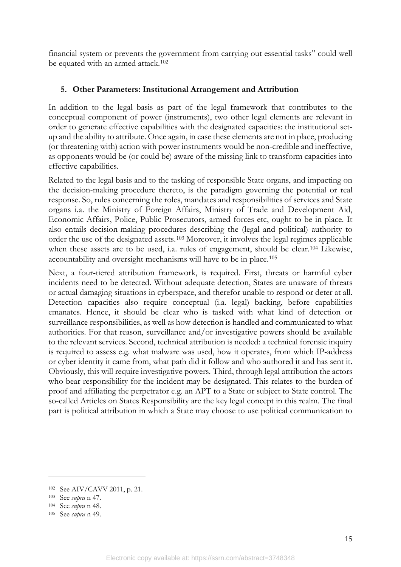financial system or prevents the government from carrying out essential tasks" could well be equated with an armed attack.<sup>[102](#page-16-1)</sup>

#### <span id="page-16-0"></span>**5. Other Parameters: Institutional Arrangement and Attribution**

In addition to the legal basis as part of the legal framework that contributes to the conceptual component of power (instruments), two other legal elements are relevant in order to generate effective capabilities with the designated capacities: the institutional setup and the ability to attribute. Once again, in case these elements are not in place, producing (or threatening with) action with power instruments would be non-credible and ineffective, as opponents would be (or could be) aware of the missing link to transform capacities into effective capabilities.

Related to the legal basis and to the tasking of responsible State organs, and impacting on the decision-making procedure thereto, is the paradigm governing the potential or real response. So, rules concerning the roles, mandates and responsibilities of services and State organs i.a. the Ministry of Foreign Affairs, Ministry of Trade and Development Aid, Economic Affairs, Police, Public Prosecutors, armed forces etc, ought to be in place. It also entails decision-making procedures describing the (legal and political) authority to order the use of the designated assets.[103](#page-16-2) Moreover, it involves the legal regimes applicable when these assets are to be used, i.a. rules of engagement, should be clear.<sup>[104](#page-16-3)</sup> Likewise, accountability and oversight mechanisms will have to be in place.[105](#page-16-4)

Next, a four-tiered attribution framework, is required. First, threats or harmful cyber incidents need to be detected. Without adequate detection, States are unaware of threats or actual damaging situations in cyberspace, and therefor unable to respond or deter at all. Detection capacities also require conceptual (i.a. legal) backing, before capabilities emanates. Hence, it should be clear who is tasked with what kind of detection or surveillance responsibilities, as well as how detection is handled and communicated to what authorities. For that reason, surveillance and/or investigative powers should be available to the relevant services. Second, technical attribution is needed: a technical forensic inquiry is required to assess e.g. what malware was used, how it operates, from which IP-address or cyber identity it came from, what path did it follow and who authored it and has sent it. Obviously, this will require investigative powers. Third, through legal attribution the actors who bear responsibility for the incident may be designated. This relates to the burden of proof and affiliating the perpetrator e.g. an APT to a State or subject to State control. The so-called Articles on States Responsibility are the key legal concept in this realm. The final part is political attribution in which a State may choose to use political communication to

<span id="page-16-1"></span><sup>102</sup> See AIV/CAVV 2011, p. 21.

<span id="page-16-2"></span><sup>103</sup> See *supra* n [47.](#page-10-11)

<span id="page-16-3"></span><sup>104</sup> See *supra* n [48.](#page-10-12)

<span id="page-16-4"></span><sup>105</sup> See *supra* n [49.](#page-10-13)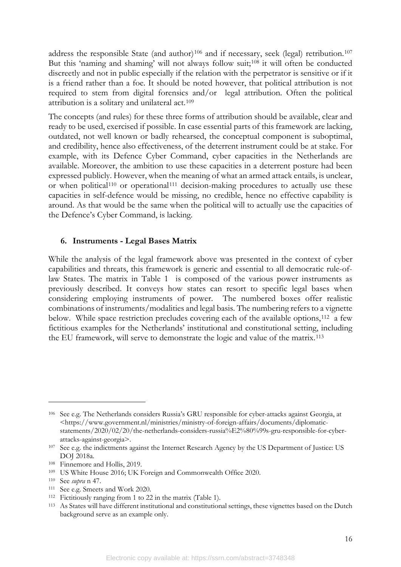address the responsible State (and author)<sup>[106](#page-17-1)</sup> and if necessary, seek (legal) retribution.<sup>[107](#page-17-2)</sup> But this 'naming and shaming' will not always follow suit;<sup>[108](#page-17-3)</sup> it will often be conducted discreetly and not in public especially if the relation with the perpetrator is sensitive or if it is a friend rather than a foe. It should be noted however, that political attribution is not required to stem from digital forensics and/or legal attribution. Often the political attribution is a solitary and unilateral act.[109](#page-17-4)

The concepts (and rules) for these three forms of attribution should be available, clear and ready to be used, exercised if possible. In case essential parts of this framework are lacking, outdated, not well known or badly rehearsed, the conceptual component is suboptimal, and credibility, hence also effectiveness, of the deterrent instrument could be at stake. For example, with its Defence Cyber Command, cyber capacities in the Netherlands are available. Moreover, the ambition to use these capacities in a deterrent posture had been expressed publicly. However, when the meaning of what an armed attack entails, is unclear, or when political<sup>[110](#page-17-5)</sup> or operational<sup>[111](#page-17-6)</sup> decision-making procedures to actually use these capacities in self-defence would be missing, no credible, hence no effective capability is around. As that would be the same when the political will to actually use the capacities of the Defence's Cyber Command, is lacking.

#### <span id="page-17-0"></span>**6. Instruments - Legal Bases Matrix**

While the analysis of the legal framework above was presented in the context of cyber capabilities and threats, this framework is generic and essential to all democratic rule-oflaw States. The matrix in [Table 1](#page-18-0) is composed of the various power instruments as previously described. It conveys how states can resort to specific legal bases when considering employing instruments of power. The numbered boxes offer realistic combinations of instruments/modalities and legal basis. The numbering refers to a vignette below. While space restriction precludes covering each of the available options,<sup>[112](#page-17-7)</sup> a few fictitious examples for the Netherlands' institutional and constitutional setting, including the EU framework, will serve to demonstrate the logic and value of the matrix.[113](#page-17-8)

<span id="page-17-1"></span><sup>106</sup> See e.g. The Netherlands considers Russia's GRU responsible for cyber-attacks against Georgia, at <https://www.government.nl/ministries/ministry-of-foreign-affairs/documents/diplomaticstatements/2020/02/20/the-netherlands-considers-russia%E2%80%99s-gru-responsible-for-cyberattacks-against-georgia>.

<span id="page-17-2"></span><sup>&</sup>lt;sup>107</sup> See e.g. the indictments against the Internet Research Agency by the US Department of Justice: US DOJ 2018a.

<span id="page-17-3"></span><sup>108</sup> Finnemore and Hollis, 2019.

<span id="page-17-4"></span><sup>109</sup> US White House 2016; UK Foreign and Commonwealth Office 2020.

<span id="page-17-5"></span><sup>110</sup> See *supra* n [47.](#page-10-11)

<span id="page-17-6"></span><sup>111</sup> See e.g. Smeets and Work 2020.

<span id="page-17-7"></span><sup>112</sup> Fictitiously ranging from 1 to 22 in the matrix (Table 1).

<span id="page-17-8"></span><sup>113</sup> As States will have different institutional and constitutional settings, these vignettes based on the Dutch background serve as an example only.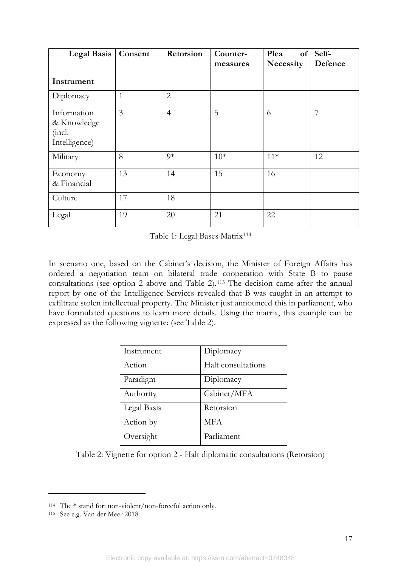| <b>Legal Basis</b>                                    | Consent        | Retorsion      | Counter-<br>measures | of<br>Plea<br>Necessity | Self-<br>Defence |
|-------------------------------------------------------|----------------|----------------|----------------------|-------------------------|------------------|
| Instrument                                            |                |                |                      |                         |                  |
| Diplomacy                                             | $\mathbf{1}$   | $\overline{2}$ |                      |                         |                  |
| Information<br>& Knowledge<br>(incl.<br>Intelligence) | $\overline{3}$ | $\overline{4}$ | 5                    | 6                       | 7                |
| Military                                              | 8              | $9*$           | $10*$                | $11*$                   | 12               |
| Economy<br>& Financial                                | 13             | 14             | 15                   | 16                      |                  |
| Culture                                               | 17             | 18             |                      |                         |                  |
| Legal                                                 | 19             | 20             | 21                   | 22                      |                  |

Table 1: Legal Bases Matrix[114](#page-18-1)

<span id="page-18-0"></span>In scenario one, based on the Cabinet's decision, the Minister of Foreign Affairs has ordered a negotiation team on bilateral trade cooperation with State B to pause consultations (see option 2 above and Table 2).[115](#page-18-2) The decision came after the annual report by one of the Intelligence Services revealed that B was caught in an attempt to exfiltrate stolen intellectual property. The Minister just announced this in parliament, who have formulated questions to learn more details. Using the matrix, this example can be expressed as the following vignette: (see Table 2).

| Instrument  | Diplomacy          |  |
|-------------|--------------------|--|
| Action      | Halt consultations |  |
| Paradigm    | Diplomacy          |  |
| Authority   | Cabinet/MFA        |  |
| Legal Basis | Retorsion          |  |
| Action by   | <b>MFA</b>         |  |
| Oversight   | Parliament         |  |

Table 2: Vignette for option 2 - Halt diplomatic consultations (Retorsion)

<span id="page-18-1"></span><sup>114</sup> The \* stand for: non-violent/non-forceful action only.

<span id="page-18-2"></span><sup>115</sup> See e.g. Van der Meer 2018.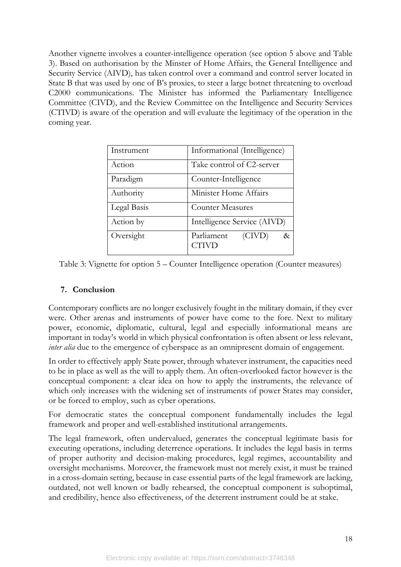Another vignette involves a counter-intelligence operation (see option 5 above and Table 3). Based on authorisation by the Minster of Home Affairs, the General Intelligence and Security Service (AIVD), has taken control over a command and control server located in State B that was used by one of B's proxies, to steer a large botnet threatening to overload C2000 communications. The Minister has informed the Parliamentary Intelligence Committee (CIVD), and the Review Committee on the Intelligence and Security Services (CTIVD) is aware of the operation and will evaluate the legitimacy of the operation in the coming year.

| Instrument  | Informational (Intelligence)          |
|-------------|---------------------------------------|
| Action      | Take control of C2-server             |
| Paradigm    | Counter-Intelligence                  |
| Authority   | Minister Home Affairs                 |
| Legal Basis | <b>Counter Measures</b>               |
| Action by   | Intelligence Service (AIVD)           |
| Oversight   | Parliament<br>(CIVD)<br>$\&$<br>CTIVD |

<span id="page-19-0"></span>Table 3: Vignette for option 5 – Counter Intelligence operation (Counter measures)

## **7. Conclusion**

Contemporary conflicts are no longer exclusively fought in the military domain, if they ever were. Other arenas and instruments of power have come to the fore. Next to military power, economic, diplomatic, cultural, legal and especially informational means are important in today's world in which physical confrontation is often absent or less relevant, *inter alia* due to the emergence of cyberspace as an omnipresent domain of engagement.

In order to effectively apply State power, through whatever instrument, the capacities need to be in place as well as the will to apply them. An often-overlooked factor however is the conceptual component: a clear idea on how to apply the instruments, the relevance of which only increases with the widening set of instruments of power States may consider, or be forced to employ, such as cyber operations.

For democratic states the conceptual component fundamentally includes the legal framework and proper and well-established institutional arrangements.

The legal framework, often undervalued, generates the conceptual legitimate basis for executing operations, including deterrence operations. It includes the legal basis in terms of proper authority and decision-making procedures, legal regimes, accountability and oversight mechanisms. Moreover, the framework must not merely exist, it must be trained in a cross-domain setting, because in case essential parts of the legal framework are lacking, outdated, not well known or badly rehearsed, the conceptual component is suboptimal, and credibility, hence also effectiveness, of the deterrent instrument could be at stake.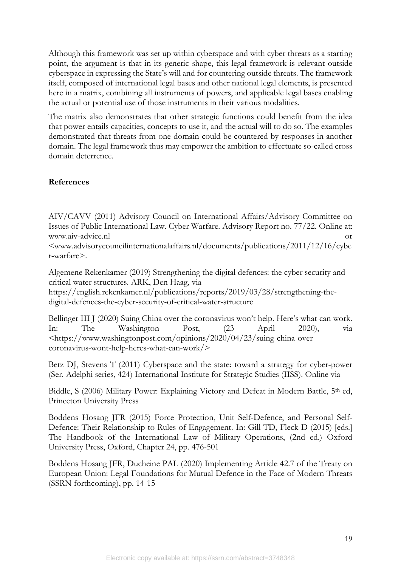Although this framework was set up within cyberspace and with cyber threats as a starting point, the argument is that in its generic shape, this legal framework is relevant outside cyberspace in expressing the State's will and for countering outside threats. The framework itself, composed of international legal bases and other national legal elements, is presented here in a matrix, combining all instruments of powers, and applicable legal bases enabling the actual or potential use of those instruments in their various modalities.

The matrix also demonstrates that other strategic functions could benefit from the idea that power entails capacities, concepts to use it, and the actual will to do so. The examples demonstrated that threats from one domain could be countered by responses in another domain. The legal framework thus may empower the ambition to effectuate so-called cross domain deterrence.

#### <span id="page-20-0"></span>**References**

AIV/CAVV (2011) Advisory Council on International Affairs/Advisory Committee on Issues of Public International Law. Cyber Warfare. Advisory Report no. 77/22. Online at: www.aiv-advice.nl or

<www.advisorycouncilinternationalaffairs.nl/documents/publications/2011/12/16/cybe r-warfare>.

Algemene Rekenkamer (2019) Strengthening the digital defences: the cyber security and critical water structures. ARK, Den Haag, via

[https://english.rekenkamer.nl/publications/reports/2019/03/28/strengthening-the](https://english.rekenkamer.nl/publications/reports/2019/03/28/strengthening-the-digital-defences-the-cyber-security-of-critical-water-structure)[digital-defences-the-cyber-security-of-critical-water-structure](https://english.rekenkamer.nl/publications/reports/2019/03/28/strengthening-the-digital-defences-the-cyber-security-of-critical-water-structure)

Bellinger III J (2020) Suing China over the coronavirus won't help. Here's what can work. In: The Washington Post, (23 April 2020), via <https://www.washingtonpost.com/opinions/2020/04/23/suing-china-overcoronavirus-wont-help-heres-what-can-work/>

Betz DJ, Stevens T (2011) Cyberspace and the state: toward a strategy for cyber-power (Ser. Adelphi series, 424) International Institute for Strategic Studies (IISS). Online via

Biddle, S (2006) Military Power: Explaining Victory and Defeat in Modern Battle, 5<sup>th</sup> ed, Princeton University Press

Boddens Hosang JFR (2015) Force Protection, Unit Self-Defence, and Personal Self-Defence: Their Relationship to Rules of Engagement. In: Gill TD, Fleck D (2015) [eds.] The Handbook of the International Law of Military Operations, (2nd ed.) Oxford University Press, Oxford, Chapter 24, pp. 476-501

Boddens Hosang JFR, Ducheine PAL (2020) Implementing Article 42.7 of the Treaty on European Union: Legal Foundations for Mutual Defence in the Face of Modern Threats (SSRN forthcoming), pp. 14-15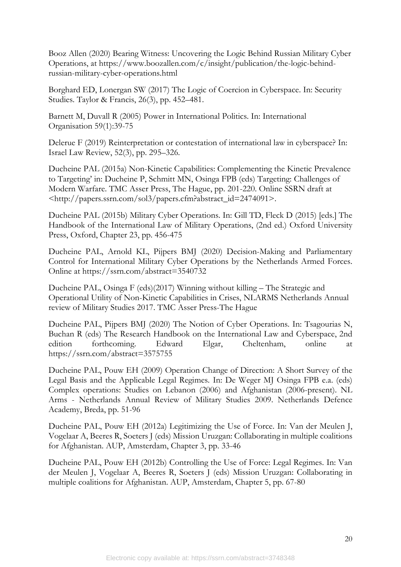Booz Allen (2020) Bearing Witness: Uncovering the Logic Behind Russian Military Cyber Operations, at [https://www.boozallen.com/c/insight/publication/the-logic-behind](https://www.boozallen.com/c/insight/publication/the-logic-behind-russian-military-cyber-operations.html)[russian-military-cyber-operations.html](https://www.boozallen.com/c/insight/publication/the-logic-behind-russian-military-cyber-operations.html)

Borghard ED, Lonergan SW (2017) The Logic of Coercion in Cyberspace. In: Security Studies. Taylor & Francis, 26(3), pp. 452–481.

Barnett M, Duvall R (2005) Power in International Politics. In: International Organisation 59(1):39-75

Delerue F (2019) Reinterpretation or contestation of international law in cyberspace? In: Israel Law Review, 52(3), pp. 295–326.

Ducheine PAL (2015a) Non-Kinetic Capabilities: Complementing the Kinetic Prevalence to Targeting' in: Ducheine P, Schmitt MN, Osinga FPB (eds) Targeting: Challenges of Modern Warfare. TMC Asser Press, The Hague, pp. 201-220. Online SSRN draft at <http://papers.ssrn.com/sol3/papers.cfm?abstract\_id=2474091>.

Ducheine PAL (2015b) Military Cyber Operations. In: Gill TD, Fleck D (2015) [eds.] The Handbook of the International Law of Military Operations, (2nd ed.) Oxford University Press, Oxford, Chapter 23, pp. 456-475

Ducheine PAL, Arnold KL, Pijpers BMJ (2020) Decision-Making and Parliamentary Control for International Military Cyber Operations by the Netherlands Armed Forces. Online at<https://ssrn.com/abstract=3540732>

Ducheine PAL, Osinga F (eds)(2017) Winning without killing – The Strategic and Operational Utility of Non-Kinetic Capabilities in Crises, NLARMS Netherlands Annual review of Military Studies 2017. TMC Asser Press-The Hague

Ducheine PAL, Pijpers BMJ (2020) The Notion of Cyber Operations. In: Tsagourias N, Buchan R (eds) The Research Handbook on the International Law and Cyberspace, 2nd edition forthcoming. Edward Elgar, Cheltenham, online at <https://ssrn.com/abstract=3575755>

Ducheine PAL, Pouw EH (2009) Operation Change of Direction: A Short Survey of the Legal Basis and the Applicable Legal Regimes. In: De Weger MJ Osinga FPB e.a. (eds) Complex operations: Studies on Lebanon (2006) and Afghanistan (2006-present). NL Arms - Netherlands Annual Review of Military Studies 2009. Netherlands Defence Academy, Breda, pp. 51-96

Ducheine PAL, Pouw EH (2012a) Legitimizing the Use of Force. In: Van der Meulen J, Vogelaar A, Beeres R, Soeters J (eds) Mission Uruzgan: Collaborating in multiple coalitions for Afghanistan. AUP, Amsterdam, Chapter 3, pp. 33-46

Ducheine PAL, Pouw EH (2012b) Controlling the Use of Force: Legal Regimes. In: Van der Meulen J, Vogelaar A, Beeres R, Soeters J (eds) Mission Uruzgan: Collaborating in multiple coalitions for Afghanistan. AUP, Amsterdam, Chapter 5, pp. 67-80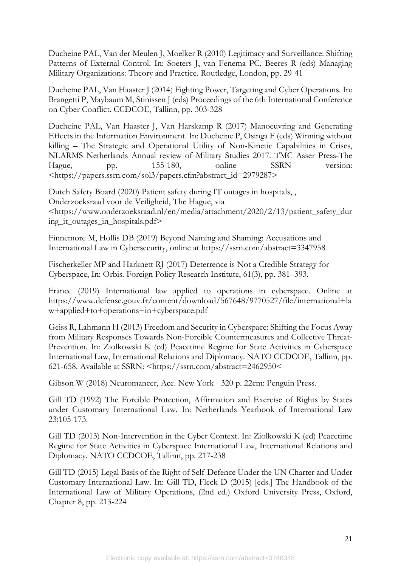Ducheine PAL, Van der Meulen J, Moelker R (2010) Legitimacy and Surveillance: Shifting Patterns of External Control. In: Soeters J, van Fenema PC, Beeres R (eds) Managing Military Organizations: Theory and Practice. Routledge, London, pp. 29-41

Ducheine PAL, Van Haaster J (2014) Fighting Power, Targeting and Cyber Operations. In: Brangetti P, Maybaum M, Stinissen J (eds) Proceedings of the 6th International Conference on Cyber Conflict. CCDCOE, Tallinn, pp. 303-328

Ducheine PAL, Van Haaster J, Van Harskamp R (2017) Manoeuvring and Generating Effects in the Information Environment. In: Ducheine P, Osinga F (eds) Winning without killing – The Strategic and Operational Utility of Non-Kinetic Capabilities in Crises, NLARMS Netherlands Annual review of Military Studies 2017. TMC Asser Press-The Hague, pp. 155-180, online SSRN version: [<https://papers.ssrn.com/sol3/papers.cfm?abstract\\_id=2979287>](https://papers.ssrn.com/sol3/papers.cfm?abstract_id=2979287)

Dutch Safety Board (2020) Patient safety during IT outages in hospitals, , Onderzoeksraad voor de Veiligheid, The Hague, via <https://www.onderzoeksraad.nl/en/media/attachment/2020/2/13/patient\_safety\_dur ing\_it\_outages\_in\_hospitals.pdf>

Finnemore M, Hollis DB (2019) Beyond Naming and Shaming: Accusations and International Law in Cybersecurity, online at https://ssrn.com/abstract=3347958

Fischerkeller MP and Harknett RJ (2017) Deterrence is Not a Credible Strategy for Cyberspace, In: Orbis. Foreign Policy Research Institute, 61(3), pp. 381–393.

France (2019) International law applied to operations in cyberspace. Online at [https://www.defense.gouv.fr/content/download/567648/9770527/file/international+la](https://www.defense.gouv.fr/content/download/567648/9770527/file/international+law+applied+to+operations+in+cyberspace.pdf) [w+applied+to+operations+in+cyberspace.pdf](https://www.defense.gouv.fr/content/download/567648/9770527/file/international+law+applied+to+operations+in+cyberspace.pdf)

Geiss R, Lahmann H (2013) Freedom and Security in Cyberspace: Shifting the Focus Away from Military Responses Towards Non-Forcible Countermeasures and Collective Threat-Prevention. In: Ziolkowski K (ed) Peacetime Regime for State Activities in Cyberspace International Law, International Relations and Diplomacy. NATO CCDCOE, Tallinn, pp. 621-658. Available at SSRN: <https://ssrn.com/abstract=2462950<

Gibson W (2018) Neuromancer, Ace. New York - 320 p. 22cm: Penguin Press.

Gill TD (1992) The Forcible Protection, Affirmation and Exercise of Rights by States under Customary International Law. In: Netherlands Yearbook of International Law 23:105-173.

Gill TD (2013) Non-Intervention in the Cyber Context. In: Ziolkowski K (ed) Peacetime Regime for State Activities in Cyberspace International Law, International Relations and Diplomacy. NATO CCDCOE, Tallinn, pp. 217-238

Gill TD (2015) Legal Basis of the Right of Self-Defence Under the UN Charter and Under Customary International Law. In: Gill TD, Fleck D (2015) [eds.] The Handbook of the International Law of Military Operations, (2nd ed.) Oxford University Press, Oxford, Chapter 8, pp. 213-224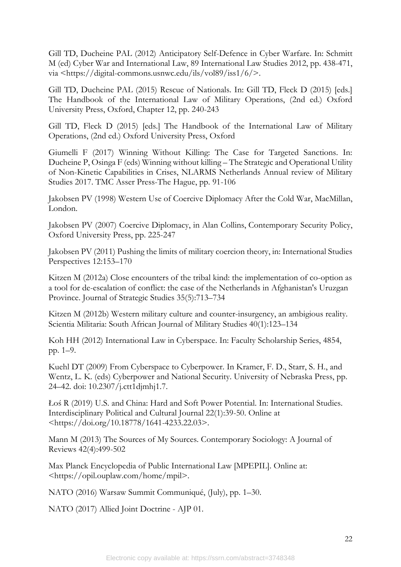Gill TD, Ducheine PAL (2012) Anticipatory Self-Defence in Cyber Warfare. In: Schmitt M (ed) Cyber War and International Law, 89 International Law Studies 2012, pp. 438-471, via <https://digital-commons.usnwc.edu/ils/vol89/iss1/6/>.

Gill TD, Ducheine PAL (2015) Rescue of Nationals. In: Gill TD, Fleck D (2015) [eds.] The Handbook of the International Law of Military Operations, (2nd ed.) Oxford University Press, Oxford, Chapter 12, pp. 240-243

Gill TD, Fleck D (2015) [eds.] The Handbook of the International Law of Military Operations, (2nd ed.) Oxford University Press, Oxford

Giumelli F (2017) Winning Without Killing: The Case for Targeted Sanctions. In: Ducheine P, Osinga F (eds) Winning without killing – The Strategic and Operational Utility of Non-Kinetic Capabilities in Crises, NLARMS Netherlands Annual review of Military Studies 2017. TMC Asser Press-The Hague, pp. 91-106

Jakobsen PV (1998) Western Use of Coercive Diplomacy After the Cold War, MacMillan, London.

Jakobsen PV (2007) Coercive Diplomacy, in Alan Collins, Contemporary Security Policy, Oxford University Press, pp. 225-247

Jakobsen PV (2011) Pushing the limits of military coercion theory, in: International Studies Perspectives 12:153–170

Kitzen M (2012a) Close encounters of the tribal kind: the implementation of co-option as a tool for de-escalation of conflict: the case of the Netherlands in Afghanistan's Uruzgan Province. Journal of Strategic Studies 35(5):713–734

Kitzen M (2012b) Western military culture and counter-insurgency, an ambigious reality. Scientia Militaria: South African Journal of Military Studies 40(1):123–134

Koh HH (2012) International Law in Cyberspace. In: Faculty Scholarship Series, 4854, pp. 1–9.

Kuehl DT (2009) From Cyberspace to Cyberpower. In Kramer, F. D., Starr, S. H., and Wentz, L. K. (eds) Cyberpower and National Security. University of Nebraska Press, pp. 24–42. doi: 10.2307/j.ctt1djmhj1.7.

Łoś R (2019) U.S. and China: Hard and Soft Power Potential. In: International Studies. Interdisciplinary Political and Cultural Journal 22(1):39-50. Online at <https://doi.org/10.18778/1641-4233.22.03>.

Mann M (2013) The Sources of My Sources. Contemporary Sociology: A Journal of Reviews 42(4):499-502

Max Planck Encyclopedia of Public International Law [MPEPIL]. Online at: <https://opil.ouplaw.com/home/mpil>.

NATO (2016) Warsaw Summit Communiqué, (July), pp. 1–30.

NATO (2017) Allied Joint Doctrine - AJP 01.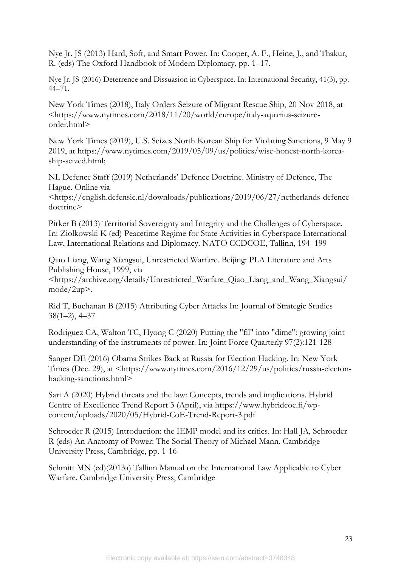Nye Jr. JS (2013) Hard, Soft, and Smart Power. In: Cooper, A. F., Heine, J., and Thakur, R. (eds) The Oxford Handbook of Modern Diplomacy, pp. 1–17.

Nye Jr. JS (2016) Deterrence and Dissuasion in Cyberspace. In: International Security, 41(3), pp. 44–71.

New York Times (2018), Italy Orders Seizure of Migrant Rescue Ship, 20 Nov 2018, at <https://www.nytimes.com/2018/11/20/world/europe/italy-aquarius-seizureorder.html>

New York Times (2019), U.S. Seizes North Korean Ship for Violating Sanctions, 9 May 9 2019, at https://www.nytimes.com/2019/05/09/us/politics/wise-honest-north-koreaship-seized.html;

NL Defence Staff (2019) Netherlands' Defence Doctrine. Ministry of Defence, The Hague. Online via

<https://english.defensie.nl/downloads/publications/2019/06/27/netherlands-defencedoctrine>

Pirker B (2013) Territorial Sovereignty and Integrity and the Challenges of Cyberspace. In: Ziolkowski K (ed) Peacetime Regime for State Activities in Cyberspace International Law, International Relations and Diplomacy. NATO CCDCOE, Tallinn, 194–199

Qiao Liang, Wang Xiangsui, Unrestricted Warfare. Beijing: PLA Literature and Arts Publishing House, 1999, via

<https://archive.org/details/Unrestricted\_Warfare\_Qiao\_Liang\_and\_Wang\_Xiangsui/ mode/2up>.

Rid T, Buchanan B (2015) Attributing Cyber Attacks In: Journal of Strategic Studies  $38(1-2)$ ,  $4-37$ 

Rodriguez CA, Walton TC, Hyong C (2020) Putting the "fil" into "dime": growing joint understanding of the instruments of power. In: Joint Force Quarterly 97(2):121-128

Sanger DE (2016) Obama Strikes Back at Russia for Election Hacking. In: New York Times (Dec. 29), at <https://www.nytimes.com/2016/12/29/us/politics/russia-electonhacking-sanctions.html>

Sari A (2020) Hybrid threats and the law: Concepts, trends and implications. Hybrid Centre of Excellence Trend Report 3 (April), via [https://www.hybridcoe.fi/wp](https://www.hybridcoe.fi/wp-content/uploads/2020/05/Hybrid-CoE-Trend-Report-3.pdf)[content/uploads/2020/05/Hybrid-CoE-Trend-Report-3.pdf](https://www.hybridcoe.fi/wp-content/uploads/2020/05/Hybrid-CoE-Trend-Report-3.pdf)

Schroeder R (2015) Introduction: the IEMP model and its critics. In: Hall JA, Schroeder R (eds) An Anatomy of Power: The Social Theory of Michael Mann. Cambridge University Press, Cambridge, pp. 1-16

Schmitt MN (ed)(2013a) Tallinn Manual on the International Law Applicable to Cyber Warfare. Cambridge University Press, Cambridge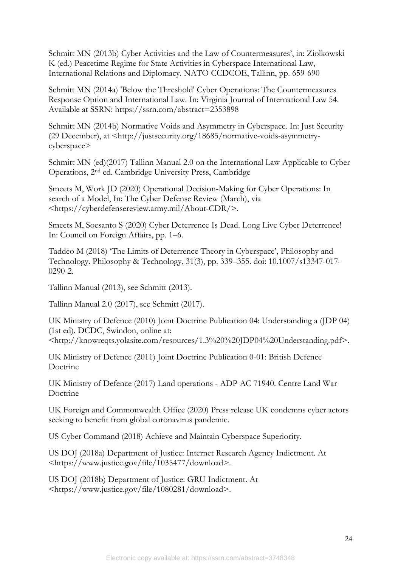Schmitt MN (2013b) Cyber Activities and the Law of Countermeasures', in: Ziolkowski K (ed.) Peacetime Regime for State Activities in Cyberspace International Law, International Relations and Diplomacy. NATO CCDCOE, Tallinn, pp. 659-690

Schmitt MN (2014a) 'Below the Threshold' Cyber Operations: The Countermeasures Response Option and International Law. In: Virginia Journal of International Law 54. Available at SSRN:<https://ssrn.com/abstract=2353898>

Schmitt MN (2014b) Normative Voids and Asymmetry in Cyberspace. In: Just Security (29 December), at <http://justsecurity.org/18685/normative-voids-asymmetrycyberspace>

Schmitt MN (ed)(2017) Tallinn Manual 2.0 on the International Law Applicable to Cyber Operations, 2nd ed. Cambridge University Press, Cambridge

Smeets M, Work JD (2020) Operational Decision-Making for Cyber Operations: In search of a Model, In: The Cyber Defense Review (March), via <https://cyberdefensereview.army.mil/About-CDR/>.

Smeets M, Soesanto S (2020) Cyber Deterrence Is Dead. Long Live Cyber Deterrence! In: Council on Foreign Affairs, pp. 1–6.

Taddeo M (2018) 'The Limits of Deterrence Theory in Cyberspace', Philosophy and Technology. Philosophy & Technology, 31(3), pp. 339–355. doi: 10.1007/s13347-017- 0290-2.

Tallinn Manual (2013), see Schmitt (2013).

Tallinn Manual 2.0 (2017), see Schmitt (2017).

UK Ministry of Defence (2010) Joint Doctrine Publication 04: Understanding a (JDP 04) (1st ed). DCDC, Swindon, online at:

<http://knowreqts.yolasite.com/resources/1.3%20%20JDP04%20Understanding.pdf>.

UK Ministry of Defence (2011) Joint Doctrine Publication 0-01: British Defence Doctrine

UK Ministry of Defence (2017) Land operations - ADP AC 71940. Centre Land War Doctrine

UK Foreign and Commonwealth Office (2020) Press release UK condemns cyber actors seeking to benefit from global coronavirus pandemic.

US Cyber Command (2018) Achieve and Maintain Cyberspace Superiority.

US DOJ (2018a) Department of Justice: Internet Research Agency Indictment. At <https://www.justice.gov/file/1035477/download>.

US DOJ (2018b) Department of Justice: GRU Indictment. At <https://www.justice.gov/file/1080281/download>.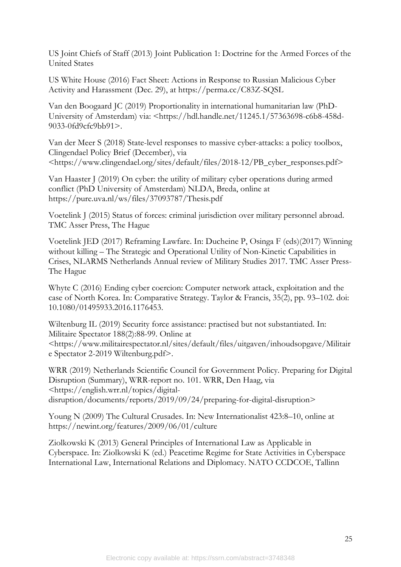US Joint Chiefs of Staff (2013) Joint Publication 1: Doctrine for the Armed Forces of the United States

US White House (2016) Fact Sheet: Actions in Response to Russian Malicious Cyber Activity and Harassment (Dec. 29), at<https://perma.cc/C83Z-SQSL>

Van den Boogaard JC (2019) Proportionality in international humanitarian law (PhD-University of Amsterdam) via: <https://hdl.handle.net/11245.1/57363698-c6b8-458d-9033-0fd9cfc9bb91>.

Van der Meer S (2018) State-level responses to massive cyber-attacks: a policy toolbox, Clingendael Policy Brief (December), via <https://www.clingendael.org/sites/default/files/2018-12/PB\_cyber\_responses.pdf>

Van Haaster J (2019) On cyber: the utility of military cyber operations during armed conflict (PhD University of Amsterdam) NLDA, Breda, online at <https://pure.uva.nl/ws/files/37093787/Thesis.pdf>

Voetelink J (2015) Status of forces: criminal jurisdiction over military personnel abroad. TMC Asser Press, The Hague

Voetelink JED (2017) Reframing Lawfare. In: Ducheine P, Osinga F (eds)(2017) Winning without killing – The Strategic and Operational Utility of Non-Kinetic Capabilities in Crises, NLARMS Netherlands Annual review of Military Studies 2017. TMC Asser Press-The Hague

Whyte C (2016) Ending cyber coercion: Computer network attack, exploitation and the case of North Korea. In: Comparative Strategy. Taylor & Francis, 35(2), pp. 93–102. doi: 10.1080/01495933.2016.1176453.

Wiltenburg IL (2019) Security force assistance: practised but not substantiated. In: Militaire Spectator 188(2):88-99. Online at <https://www.militairespectator.nl/sites/default/files/uitgaven/inhoudsopgave/Militair e Spectator 2-2019 Wiltenburg.pdf>.

WRR (2019) Netherlands Scientific Council for Government Policy. Preparing for Digital Disruption (Summary), WRR-report no. 101. WRR, Den Haag, via <https://english.wrr.nl/topics/digitaldisruption/documents/reports/2019/09/24/preparing-for-digital-disruption>

Young N (2009) The Cultural Crusades. In: New Internationalist 423:8–10, online at <https://newint.org/features/2009/06/01/culture>

Ziolkowski K (2013) General Principles of International Law as Applicable in Cyberspace. In: Ziolkowski K (ed.) Peacetime Regime for State Activities in Cyberspace International Law, International Relations and Diplomacy. NATO CCDCOE, Tallinn